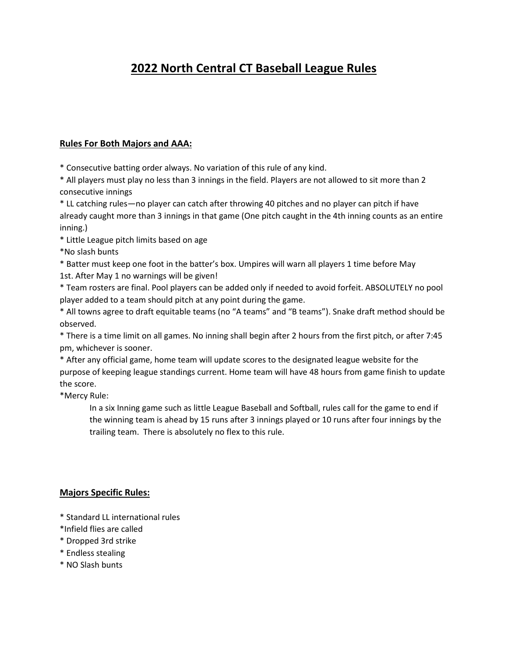## **2022 North Central CT Baseball League Rules**

## **Rules For Both Majors and AAA:**

\* Consecutive batting order always. No variation of this rule of any kind.

\* All players must play no less than 3 innings in the field. Players are not allowed to sit more than 2 consecutive innings

\* LL catching rules—no player can catch after throwing 40 pitches and no player can pitch if have already caught more than 3 innings in that game (One pitch caught in the 4th inning counts as an entire inning.)

\* Little League pitch limits based on age

\*No slash bunts

\* Batter must keep one foot in the batter's box. Umpires will warn all players 1 time before May 1st. After May 1 no warnings will be given!

\* Team rosters are final. Pool players can be added only if needed to avoid forfeit. ABSOLUTELY no pool player added to a team should pitch at any point during the game.

\* All towns agree to draft equitable teams (no "A teams" and "B teams"). Snake draft method should be observed.

\* There is a time limit on all games. No inning shall begin after 2 hours from the first pitch, or after 7:45 pm, whichever is sooner.

\* After any official game, home team will update scores to the designated league website for the purpose of keeping league standings current. Home team will have 48 hours from game finish to update the score.

\*Mercy Rule:

In a six Inning game such as little League Baseball and Softball, rules call for the game to end if the winning team is ahead by 15 runs after 3 innings played or 10 runs after four innings by the trailing team. There is absolutely no flex to this rule.

## **Majors Specific Rules:**

- \* Standard LL international rules
- \*Infield flies are called
- \* Dropped 3rd strike
- \* Endless stealing
- \* NO Slash bunts